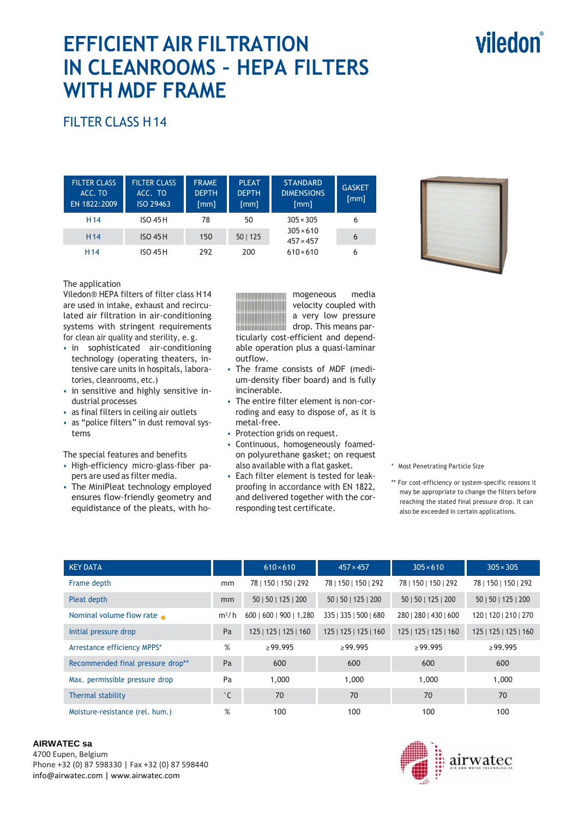# viledon®

# **EFFICIENT AIR FILTRATION IN CLEANROOMS – HEPA FILTERS WITH MDF FRAME**

## FILTER CLASS H 14

| <b>FILTER CLASS</b><br>ACC. TO<br>EN 1822:2009 | <b>FILTER CLASS</b><br>ACC. TO<br>ISO 29463 | <b>FRAME</b><br><b>DEPTH</b><br>$\lceil mm \rceil$ | <b>PLEAT</b><br><b>DEPTH</b><br>[mm] | <b>STANDARD</b><br><b>DIMENSIONS</b><br>[mm] | <b>GASKET</b><br>[mm] |
|------------------------------------------------|---------------------------------------------|----------------------------------------------------|--------------------------------------|----------------------------------------------|-----------------------|
| H <sub>14</sub>                                | <b>ISO 45H</b>                              | 78                                                 | 50                                   | $305 \times 305$                             | 6                     |
| H <sub>14</sub>                                | $ISO$ 45H                                   | 150                                                | 50   125                             | $305 \times 610$<br>$457 \times 457$         | 6                     |
| H <sub>14</sub>                                | <b>ISO 45 H</b>                             | 292                                                | 200                                  | $610\times 610$                              | 6                     |

#### The application

Viledon® HEPA filters of filter class H 14 are used in intake, exhaust and recirculated air filtration in air-conditioning systems with stringent requirements for clean air quality and sterility, e. g.

- in sophisticated air-conditioning technology (operating theaters, intensive care units in hospitals, laboratories, cleanrooms, etc.)
- in sensitive and highly sensitive industrial processes
- as final filters in ceiling air outlets
- as "police filters" in dust removal systems

The special features and benefits

- High-efficiency micro-glass-fiber papers are used as filter media.
- The MiniPleat technology employed ensures flow-friendly geometry and equidistance of the pleats, with ho-

mogeneous media velocity coupled with a very low pressure drop. This means par-**THE REAL PROPERTY AND IN** ticularly cost-efficient and dependable operation plus a quasi-laminar

- outflow. • The frame consists of MDF (medium-density fiber board) and is fully incinerable.
- The entire filter element is non-corroding and easy to dispose of, as it is metal-free.
- Protection grids on request.
- Continuous, homogeneously foamedon polyurethane gasket; on request also available with a flat gasket.
- Each filter element is tested for leakproofing in accordance with EN 1822, and delivered together with the corresponding test certificate.

\* Most Penetrating Particle Size

\*\* For cost-efficiency or system-specific reasons it may be appropriate to change the filters before reaching the stated final pressure drop. It can also be exceeded in certain applications.

| <b>KEY DATA</b>                   |              | $610\times610$          | $457 \times 457$      | $305 \times 610$      | $305 \times 305$      |
|-----------------------------------|--------------|-------------------------|-----------------------|-----------------------|-----------------------|
| Frame depth                       | mm           | 78   150   150   292    | 78   150   150   292  | 78   150   150   292  | 78   150   150   292  |
| Pleat depth                       | mm           | 50   50   125   200     | 50   50   125   200   | 50   50   125   200   | 50   50   125   200   |
| Nominal volume flow rate          | $m^3/h$      | 600   600   900   1,280 | 335   335   500   680 | 280   280   430   600 | 120   120   210   270 |
| Initial pressure drop             | Pa           | 125   125   125   160   | 125   125   125   160 | 125   125   125   160 | 125   125   125   160 |
| Arrestance efficiency MPPS*       | %            | $\geq$ 99.995           | $\geq$ 99.995         | >99.995               | $\geq$ 99.995         |
| Recommended final pressure drop** | Pa           | 600                     | 600                   | 600                   | 600                   |
| Max. permissible pressure drop    | Pa           | 1,000                   | 1,000                 | 1,000                 | 1,000                 |
| Thermal stability                 | $^{\circ}$ C | 70                      | 70                    | 70                    | 70                    |
| Moisture-resistance (rel. hum.)   | %            | 100                     | 100                   | 100                   | 100                   |

#### **AIRWATEC sa**

4700 Eupen, Belgium Phone +32 (0) 87 598330 | Fax +32 (0) 87 598440 info@airwatec.com | www.airwatec.com